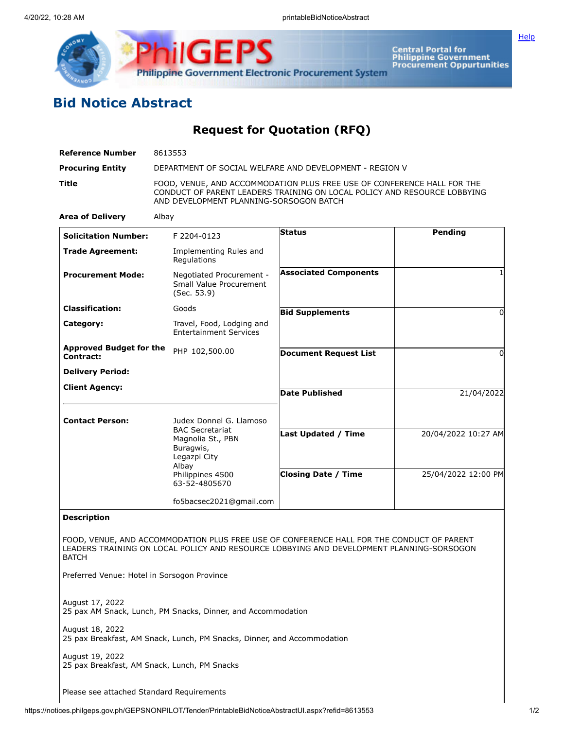

Central Portal for<br>Philippine Government<br>Procurement Oppurtunities

## **Bid Notice Abstract**

**Request for Quotation (RFQ)**

| <b>Reference Number</b>                                                         | 8613553                                                                                                                                                                                        |                              |                     |  |
|---------------------------------------------------------------------------------|------------------------------------------------------------------------------------------------------------------------------------------------------------------------------------------------|------------------------------|---------------------|--|
| <b>Procuring Entity</b>                                                         | DEPARTMENT OF SOCIAL WELFARE AND DEVELOPMENT - REGION V                                                                                                                                        |                              |                     |  |
| Title                                                                           | FOOD, VENUE, AND ACCOMMODATION PLUS FREE USE OF CONFERENCE HALL FOR THE<br>CONDUCT OF PARENT LEADERS TRAINING ON LOCAL POLICY AND RESOURCE LOBBYING<br>AND DEVELOPMENT PLANNING-SORSOGON BATCH |                              |                     |  |
| <b>Area of Delivery</b>                                                         | Albay                                                                                                                                                                                          |                              |                     |  |
| <b>Solicitation Number:</b>                                                     | F 2204-0123                                                                                                                                                                                    | <b>Status</b>                | Pending             |  |
| <b>Trade Agreement:</b>                                                         | Implementing Rules and<br>Regulations                                                                                                                                                          |                              |                     |  |
| <b>Procurement Mode:</b>                                                        | Negotiated Procurement -<br>Small Value Procurement<br>(Sec. 53.9)                                                                                                                             | <b>Associated Components</b> |                     |  |
| <b>Classification:</b>                                                          | Goods                                                                                                                                                                                          | <b>Bid Supplements</b>       | $\Omega$            |  |
| Category:                                                                       | Travel, Food, Lodging and<br><b>Entertainment Services</b>                                                                                                                                     |                              |                     |  |
| <b>Approved Budget for the</b><br>Contract:                                     | PHP 102,500.00                                                                                                                                                                                 | <b>Document Request List</b> | $\Omega$            |  |
| <b>Delivery Period:</b>                                                         |                                                                                                                                                                                                |                              |                     |  |
| <b>Client Agency:</b>                                                           |                                                                                                                                                                                                | <b>Date Published</b>        | 21/04/2022          |  |
| <b>Contact Person:</b>                                                          | Judex Donnel G. Llamoso<br><b>BAC Secretariat</b><br>Magnolia St., PBN<br>Buragwis,<br>Legazpi City<br>Albay                                                                                   | <b>Last Updated / Time</b>   | 20/04/2022 10:27 AM |  |
|                                                                                 | Philippines 4500<br>63-52-4805670                                                                                                                                                              | <b>Closing Date / Time</b>   | 25/04/2022 12:00 PM |  |
|                                                                                 | fo5bacsec2021@gmail.com                                                                                                                                                                        |                              |                     |  |
| <b>Description</b>                                                              |                                                                                                                                                                                                |                              |                     |  |
| <b>BATCH</b><br>Preferred Venue: Hotel in Sorsogon Province                     | FOOD, VENUE, AND ACCOMMODATION PLUS FREE USE OF CONFERENCE HALL FOR THE CONDUCT OF PARENT<br>LEADERS TRAINING ON LOCAL POLICY AND RESOURCE LOBBYING AND DEVELOPMENT PLANNING-SORSOGON          |                              |                     |  |
| August 17, 2022<br>25 pax AM Snack, Lunch, PM Snacks, Dinner, and Accommodation |                                                                                                                                                                                                |                              |                     |  |
| August 18, 2022                                                                 | 25 pax Breakfast, AM Snack, Lunch, PM Snacks, Dinner, and Accommodation                                                                                                                        |                              |                     |  |
| August 19, 2022<br>25 pax Breakfast, AM Snack, Lunch, PM Snacks                 |                                                                                                                                                                                                |                              |                     |  |

Please see attached Standard Requirements